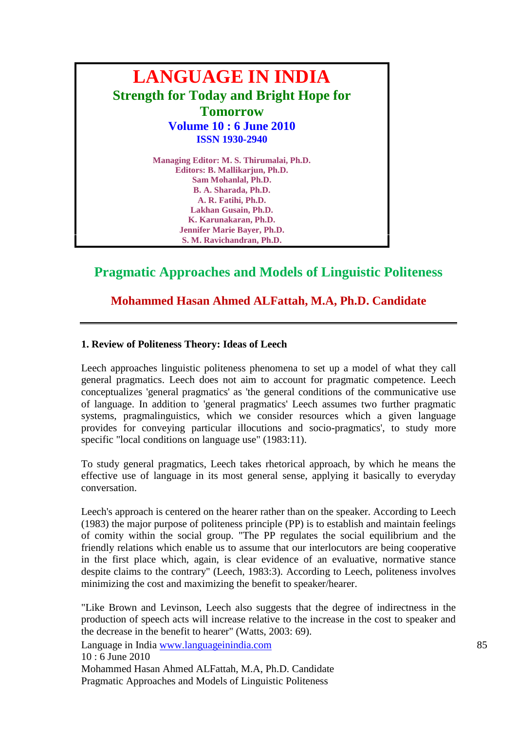

# **Pragmatic Approaches and Models of Linguistic Politeness**

## **Mohammed Hasan Ahmed ALFattah, M.A, Ph.D. Candidate**

#### **1. Review of Politeness Theory: Ideas of Leech**

Leech approaches linguistic politeness phenomena to set up a model of what they call general pragmatics. Leech does not aim to account for pragmatic competence. Leech conceptualizes 'general pragmatics' as 'the general conditions of the communicative use of language. In addition to 'general pragmatics' Leech assumes two further pragmatic systems, pragmalinguistics, which we consider resources which a given language provides for conveying particular illocutions and socio-pragmatics', to study more specific "local conditions on language use" (1983:11).

To study general pragmatics, Leech takes rhetorical approach, by which he means the effective use of language in its most general sense, applying it basically to everyday conversation.

Leech's approach is centered on the hearer rather than on the speaker. According to Leech (1983) the major purpose of politeness principle (PP) is to establish and maintain feelings of comity within the social group. "The PP regulates the social equilibrium and the friendly relations which enable us to assume that our interlocutors are being cooperative in the first place which, again, is clear evidence of an evaluative, normative stance despite claims to the contrary" (Leech, 1983:3). According to Leech, politeness involves minimizing the cost and maximizing the benefit to speaker/hearer.

"Like Brown and Levinson, Leech also suggests that the degree of indirectness in the production of speech acts will increase relative to the increase in the cost to speaker and the decrease in the benefit to hearer" (Watts, 2003: 69).

Language in India www.languageinindia.com 85

10 : 6 June 2010

Mohammed Hasan Ahmed ALFattah, M.A, Ph.D. Candidate Pragmatic Approaches and Models of Linguistic Politeness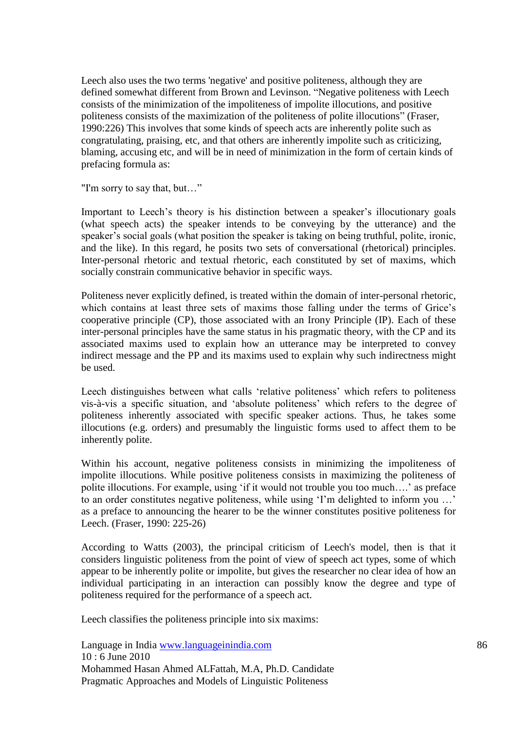Leech also uses the two terms 'negative' and positive politeness, although they are defined somewhat different from Brown and Levinson. "Negative politeness with Leech consists of the minimization of the impoliteness of impolite illocutions, and positive politeness consists of the maximization of the politeness of polite illocutions" (Fraser, 1990:226) This involves that some kinds of speech acts are inherently polite such as congratulating, praising, etc, and that others are inherently impolite such as criticizing, blaming, accusing etc, and will be in need of minimization in the form of certain kinds of prefacing formula as:

"I'm sorry to say that, but…"

Important to Leech"s theory is his distinction between a speaker"s illocutionary goals (what speech acts) the speaker intends to be conveying by the utterance) and the speaker's social goals (what position the speaker is taking on being truthful, polite, ironic, and the like). In this regard, he posits two sets of conversational (rhetorical) principles. Inter-personal rhetoric and textual rhetoric, each constituted by set of maxims, which socially constrain communicative behavior in specific ways.

Politeness never explicitly defined, is treated within the domain of inter-personal rhetoric, which contains at least three sets of maxims those falling under the terms of Grice's cooperative principle (CP), those associated with an Irony Principle (IP). Each of these inter-personal principles have the same status in his pragmatic theory, with the CP and its associated maxims used to explain how an utterance may be interpreted to convey indirect message and the PP and its maxims used to explain why such indirectness might be used.

Leech distinguishes between what calls 'relative politeness' which refers to politeness vis-à-vis a specific situation, and "absolute politeness" which refers to the degree of politeness inherently associated with specific speaker actions. Thus, he takes some illocutions (e.g. orders) and presumably the linguistic forms used to affect them to be inherently polite.

Within his account, negative politeness consists in minimizing the impoliteness of impolite illocutions. While positive politeness consists in maximizing the politeness of polite illocutions. For example, using 'if it would not trouble you too much....' as preface to an order constitutes negative politeness, while using 'I'm delighted to inform you ...' as a preface to announcing the hearer to be the winner constitutes positive politeness for Leech. (Fraser, 1990: 225-26)

According to Watts (2003), the principal criticism of Leech's model, then is that it considers linguistic politeness from the point of view of speech act types, some of which appear to be inherently polite or impolite, but gives the researcher no clear idea of how an individual participating in an interaction can possibly know the degree and type of politeness required for the performance of a speech act.

Leech classifies the politeness principle into six maxims:

Language in India www.languageinindia.com 86 10 : 6 June 2010 Mohammed Hasan Ahmed ALFattah, M.A, Ph.D. Candidate Pragmatic Approaches and Models of Linguistic Politeness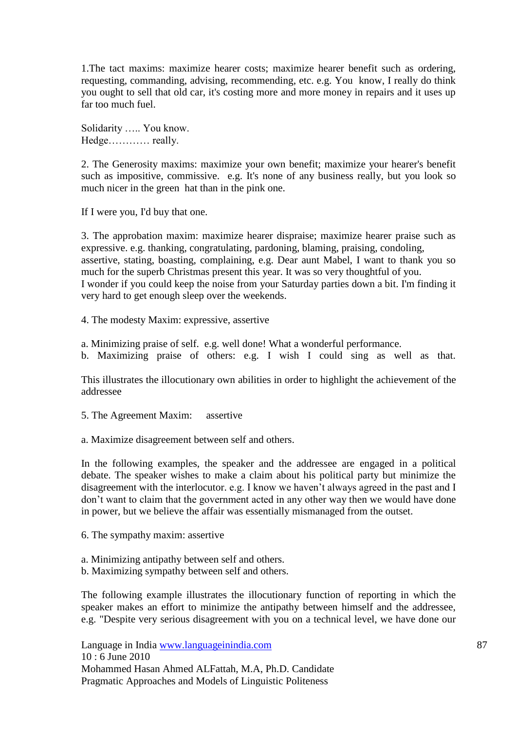1.The tact maxims: maximize hearer costs; maximize hearer benefit such as ordering, requesting, commanding, advising, recommending, etc. e.g. You know, I really do think you ought to sell that old car, it's costing more and more money in repairs and it uses up far too much fuel.

Solidarity ….. You know. Hedge………… really.

2. The Generosity maxims: maximize your own benefit; maximize your hearer's benefit such as impositive, commissive. e.g. It's none of any business really, but you look so much nicer in the green hat than in the pink one.

If I were you, I'd buy that one.

3. The approbation maxim: maximize hearer dispraise; maximize hearer praise such as expressive. e.g. thanking, congratulating, pardoning, blaming, praising, condoling, assertive, stating, boasting, complaining, e.g. Dear aunt Mabel, I want to thank you so much for the superb Christmas present this year. It was so very thoughtful of you. I wonder if you could keep the noise from your Saturday parties down a bit. I'm finding it very hard to get enough sleep over the weekends.

4. The modesty Maxim: expressive, assertive

a. Minimizing praise of self. e.g. well done! What a wonderful performance.

b. Maximizing praise of others: e.g. I wish I could sing as well as that.

This illustrates the illocutionary own abilities in order to highlight the achievement of the addressee

5. The Agreement Maxim: assertive

a. Maximize disagreement between self and others.

In the following examples, the speaker and the addressee are engaged in a political debate. The speaker wishes to make a claim about his political party but minimize the disagreement with the interlocutor. e.g. I know we haven"t always agreed in the past and I don"t want to claim that the government acted in any other way then we would have done in power, but we believe the affair was essentially mismanaged from the outset.

6. The sympathy maxim: assertive

- a. Minimizing antipathy between self and others.
- b. Maximizing sympathy between self and others.

The following example illustrates the illocutionary function of reporting in which the speaker makes an effort to minimize the antipathy between himself and the addressee, e.g. "Despite very serious disagreement with you on a technical level, we have done our

Language in India www.languageinindia.com 87 10 : 6 June 2010 Mohammed Hasan Ahmed ALFattah, M.A, Ph.D. Candidate Pragmatic Approaches and Models of Linguistic Politeness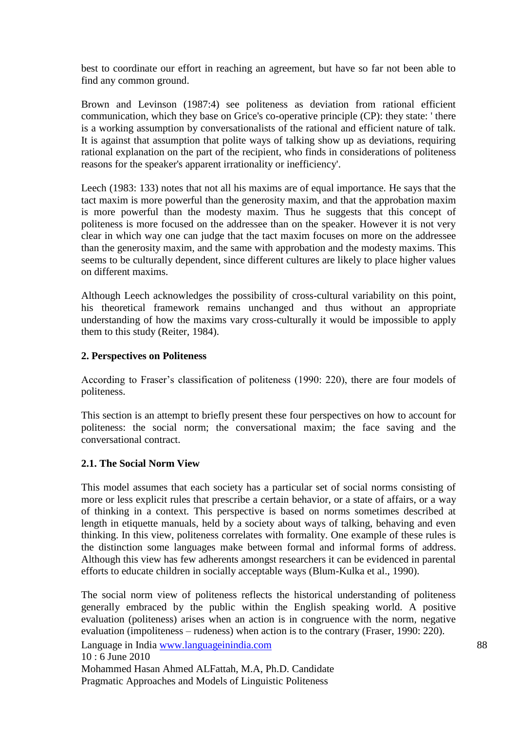best to coordinate our effort in reaching an agreement, but have so far not been able to find any common ground.

Brown and Levinson (1987:4) see politeness as deviation from rational efficient communication, which they base on Grice's co-operative principle (CP): they state: ' there is a working assumption by conversationalists of the rational and efficient nature of talk. It is against that assumption that polite ways of talking show up as deviations, requiring rational explanation on the part of the recipient, who finds in considerations of politeness reasons for the speaker's apparent irrationality or inefficiency'.

Leech (1983: 133) notes that not all his maxims are of equal importance. He says that the tact maxim is more powerful than the generosity maxim, and that the approbation maxim is more powerful than the modesty maxim. Thus he suggests that this concept of politeness is more focused on the addressee than on the speaker. However it is not very clear in which way one can judge that the tact maxim focuses on more on the addressee than the generosity maxim, and the same with approbation and the modesty maxims. This seems to be culturally dependent, since different cultures are likely to place higher values on different maxims.

Although Leech acknowledges the possibility of cross-cultural variability on this point, his theoretical framework remains unchanged and thus without an appropriate understanding of how the maxims vary cross-culturally it would be impossible to apply them to this study (Reiter, 1984).

#### **2. Perspectives on Politeness**

According to Fraser's classification of politeness (1990: 220), there are four models of politeness.

This section is an attempt to briefly present these four perspectives on how to account for politeness: the social norm; the conversational maxim; the face saving and the conversational contract.

## **2.1. The Social Norm View**

This model assumes that each society has a particular set of social norms consisting of more or less explicit rules that prescribe a certain behavior, or a state of affairs, or a way of thinking in a context. This perspective is based on norms sometimes described at length in etiquette manuals, held by a society about ways of talking, behaving and even thinking. In this view, politeness correlates with formality. One example of these rules is the distinction some languages make between formal and informal forms of address. Although this view has few adherents amongst researchers it can be evidenced in parental efforts to educate children in socially acceptable ways (Blum-Kulka et al., 1990).

The social norm view of politeness reflects the historical understanding of politeness generally embraced by the public within the English speaking world. A positive evaluation (politeness) arises when an action is in congruence with the norm, negative evaluation (impoliteness – rudeness) when action is to the contrary (Fraser, 1990: 220).

Language in India www.languageinindia.com 88

10 : 6 June 2010

Mohammed Hasan Ahmed ALFattah, M.A, Ph.D. Candidate Pragmatic Approaches and Models of Linguistic Politeness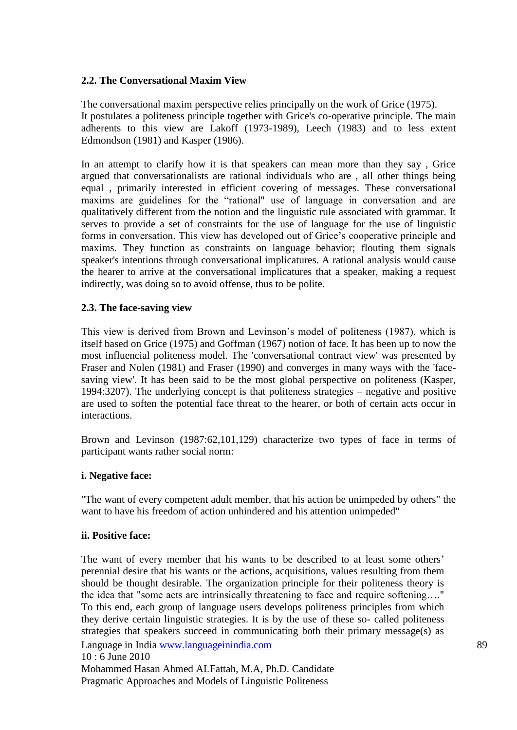#### **2.2. The Conversational Maxim View**

The conversational maxim perspective relies principally on the work of Grice (1975). It postulates a politeness principle together with Grice's co-operative principle. The main adherents to this view are Lakoff (1973-1989), Leech (1983) and to less extent Edmondson (1981) and Kasper (1986).

In an attempt to clarify how it is that speakers can mean more than they say , Grice argued that conversationalists are rational individuals who are , all other things being equal , primarily interested in efficient covering of messages. These conversational maxims are guidelines for the "rational" use of language in conversation and are qualitatively different from the notion and the linguistic rule associated with grammar. It serves to provide a set of constraints for the use of language for the use of linguistic forms in conversation. This view has developed out of Grice"s cooperative principle and maxims. They function as constraints on language behavior; flouting them signals speaker's intentions through conversational implicatures. A rational analysis would cause the hearer to arrive at the conversational implicatures that a speaker, making a request indirectly, was doing so to avoid offense, thus to be polite.

#### **2.3. The face-saving view**

This view is derived from Brown and Levinson"s model of politeness (1987), which is itself based on Grice (1975) and Goffman (1967) notion of face. It has been up to now the most influencial politeness model. The 'conversational contract view' was presented by Fraser and Nolen (1981) and Fraser (1990) and converges in many ways with the 'facesaving view'. It has been said to be the most global perspective on politeness (Kasper, 1994:3207). The underlying concept is that politeness strategies – negative and positive are used to soften the potential face threat to the hearer, or both of certain acts occur in interactions.

Brown and Levinson (1987:62,101,129) characterize two types of face in terms of participant wants rather social norm:

#### **i. Negative face:**

"The want of every competent adult member, that his action be unimpeded by others" the want to have his freedom of action unhindered and his attention unimpeded"

#### **ii. Positive face:**

Language in India www.languageinindia.com 89 10 : 6 June 2010 Mohammed Hasan Ahmed ALFattah, M.A, Ph.D. Candidate The want of every member that his wants to be described to at least some others' perennial desire that his wants or the actions, acquisitions, values resulting from them should be thought desirable. The organization principle for their politeness theory is the idea that "some acts are intrinsically threatening to face and require softening…." To this end, each group of language users develops politeness principles from which they derive certain linguistic strategies. It is by the use of these so- called politeness strategies that speakers succeed in communicating both their primary message(s) as

Pragmatic Approaches and Models of Linguistic Politeness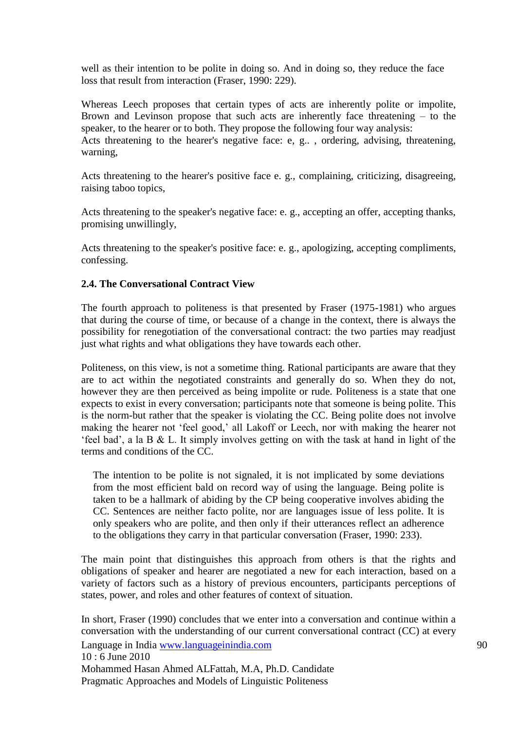well as their intention to be polite in doing so. And in doing so, they reduce the face loss that result from interaction (Fraser, 1990: 229).

Whereas Leech proposes that certain types of acts are inherently polite or impolite, Brown and Levinson propose that such acts are inherently face threatening – to the speaker, to the hearer or to both. They propose the following four way analysis: Acts threatening to the hearer's negative face: e, g.. , ordering, advising, threatening, warning,

Acts threatening to the hearer's positive face e. g., complaining, criticizing, disagreeing, raising taboo topics,

Acts threatening to the speaker's negative face: e. g., accepting an offer, accepting thanks, promising unwillingly,

Acts threatening to the speaker's positive face: e. g., apologizing, accepting compliments, confessing.

## **2.4. The Conversational Contract View**

The fourth approach to politeness is that presented by Fraser (1975-1981) who argues that during the course of time, or because of a change in the context, there is always the possibility for renegotiation of the conversational contract: the two parties may readjust just what rights and what obligations they have towards each other.

Politeness, on this view, is not a sometime thing. Rational participants are aware that they are to act within the negotiated constraints and generally do so. When they do not, however they are then perceived as being impolite or rude. Politeness is a state that one expects to exist in every conversation; participants note that someone is being polite. This is the norm-but rather that the speaker is violating the CC. Being polite does not involve making the hearer not "feel good," all Lakoff or Leech, nor with making the hearer not "feel bad", a la B & L. It simply involves getting on with the task at hand in light of the terms and conditions of the CC.

The intention to be polite is not signaled, it is not implicated by some deviations from the most efficient bald on record way of using the language. Being polite is taken to be a hallmark of abiding by the CP being cooperative involves abiding the CC. Sentences are neither facto polite, nor are languages issue of less polite. It is only speakers who are polite, and then only if their utterances reflect an adherence to the obligations they carry in that particular conversation (Fraser, 1990: 233).

The main point that distinguishes this approach from others is that the rights and obligations of speaker and hearer are negotiated a new for each interaction, based on a variety of factors such as a history of previous encounters, participants perceptions of states, power, and roles and other features of context of situation.

Language in India www.languageinindia.com 90 10 : 6 June 2010 Mohammed Hasan Ahmed ALFattah, M.A, Ph.D. Candidate Pragmatic Approaches and Models of Linguistic Politeness In short, Fraser (1990) concludes that we enter into a conversation and continue within a conversation with the understanding of our current conversational contract (CC) at every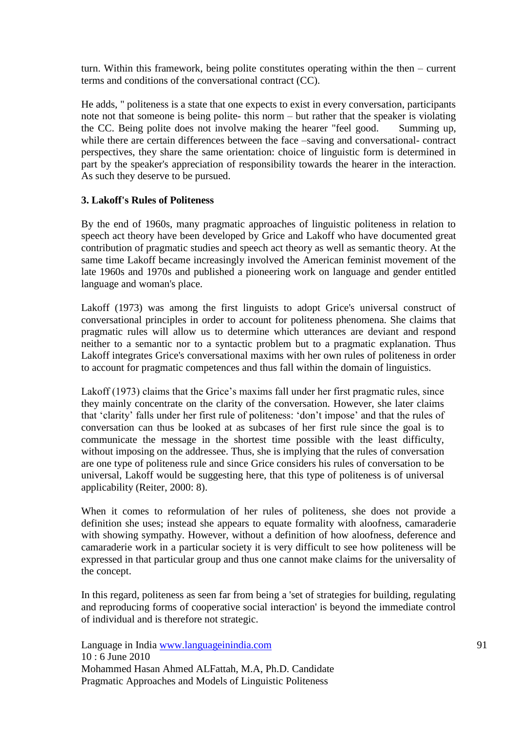turn. Within this framework, being polite constitutes operating within the then – current terms and conditions of the conversational contract (CC).

He adds, " politeness is a state that one expects to exist in every conversation, participants note not that someone is being polite- this norm – but rather that the speaker is violating the CC. Being polite does not involve making the hearer "feel good. Summing up, while there are certain differences between the face –saving and conversational- contract perspectives, they share the same orientation: choice of linguistic form is determined in part by the speaker's appreciation of responsibility towards the hearer in the interaction. As such they deserve to be pursued.

## **3. Lakoff's Rules of Politeness**

By the end of 1960s, many pragmatic approaches of linguistic politeness in relation to speech act theory have been developed by Grice and Lakoff who have documented great contribution of pragmatic studies and speech act theory as well as semantic theory. At the same time Lakoff became increasingly involved the American feminist movement of the late 1960s and 1970s and published a pioneering work on language and gender entitled language and woman's place.

Lakoff (1973) was among the first linguists to adopt Grice's universal construct of conversational principles in order to account for politeness phenomena. She claims that pragmatic rules will allow us to determine which utterances are deviant and respond neither to a semantic nor to a syntactic problem but to a pragmatic explanation. Thus Lakoff integrates Grice's conversational maxims with her own rules of politeness in order to account for pragmatic competences and thus fall within the domain of linguistics.

Lakoff (1973) claims that the Grice's maxims fall under her first pragmatic rules, since they mainly concentrate on the clarity of the conversation. However, she later claims that "clarity" falls under her first rule of politeness: "don"t impose" and that the rules of conversation can thus be looked at as subcases of her first rule since the goal is to communicate the message in the shortest time possible with the least difficulty, without imposing on the addressee. Thus, she is implying that the rules of conversation are one type of politeness rule and since Grice considers his rules of conversation to be universal, Lakoff would be suggesting here, that this type of politeness is of universal applicability (Reiter, 2000: 8).

When it comes to reformulation of her rules of politeness, she does not provide a definition she uses; instead she appears to equate formality with aloofness, camaraderie with showing sympathy. However, without a definition of how aloofness, deference and camaraderie work in a particular society it is very difficult to see how politeness will be expressed in that particular group and thus one cannot make claims for the universality of the concept.

In this regard, politeness as seen far from being a 'set of strategies for building, regulating and reproducing forms of cooperative social interaction' is beyond the immediate control of individual and is therefore not strategic.

Language in India www.languageinindia.com 91 10 : 6 June 2010 Mohammed Hasan Ahmed ALFattah, M.A, Ph.D. Candidate Pragmatic Approaches and Models of Linguistic Politeness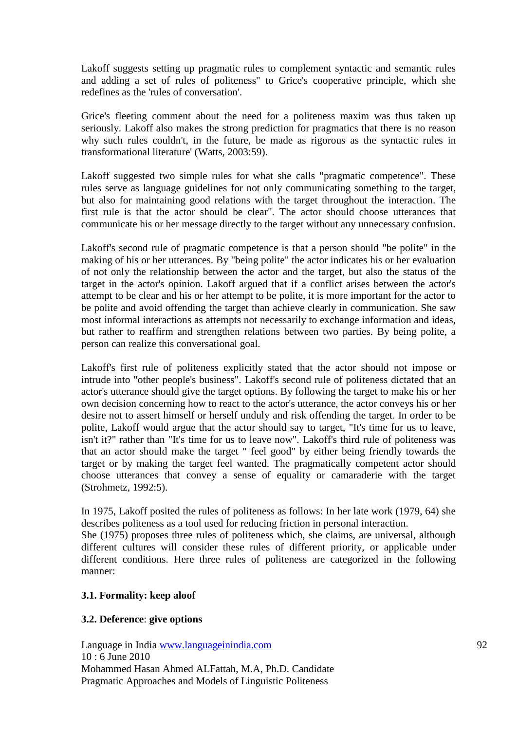Lakoff suggests setting up pragmatic rules to complement syntactic and semantic rules and adding a set of rules of politeness" to Grice's cooperative principle, which she redefines as the 'rules of conversation'.

Grice's fleeting comment about the need for a politeness maxim was thus taken up seriously. Lakoff also makes the strong prediction for pragmatics that there is no reason why such rules couldn't, in the future, be made as rigorous as the syntactic rules in transformational literature' (Watts, 2003:59).

Lakoff suggested two simple rules for what she calls "pragmatic competence". These rules serve as language guidelines for not only communicating something to the target, but also for maintaining good relations with the target throughout the interaction. The first rule is that the actor should be clear". The actor should choose utterances that communicate his or her message directly to the target without any unnecessary confusion.

Lakoff's second rule of pragmatic competence is that a person should "be polite" in the making of his or her utterances. By "being polite" the actor indicates his or her evaluation of not only the relationship between the actor and the target, but also the status of the target in the actor's opinion. Lakoff argued that if a conflict arises between the actor's attempt to be clear and his or her attempt to be polite, it is more important for the actor to be polite and avoid offending the target than achieve clearly in communication. She saw most informal interactions as attempts not necessarily to exchange information and ideas, but rather to reaffirm and strengthen relations between two parties. By being polite, a person can realize this conversational goal.

Lakoff's first rule of politeness explicitly stated that the actor should not impose or intrude into "other people's business". Lakoff's second rule of politeness dictated that an actor's utterance should give the target options. By following the target to make his or her own decision concerning how to react to the actor's utterance, the actor conveys his or her desire not to assert himself or herself unduly and risk offending the target. In order to be polite, Lakoff would argue that the actor should say to target, "It's time for us to leave, isn't it?" rather than "It's time for us to leave now". Lakoff's third rule of politeness was that an actor should make the target " feel good" by either being friendly towards the target or by making the target feel wanted. The pragmatically competent actor should choose utterances that convey a sense of equality or camaraderie with the target (Strohmetz, 1992:5).

In 1975, Lakoff posited the rules of politeness as follows: In her late work (1979, 64) she describes politeness as a tool used for reducing friction in personal interaction. She (1975) proposes three rules of politeness which, she claims, are universal, although different cultures will consider these rules of different priority, or applicable under different conditions. Here three rules of politeness are categorized in the following manner:

## **3.1. Formality: keep aloof**

## **3.2. Deference**: **give options**

Language in India www.languageinindia.com 92 10 : 6 June 2010 Mohammed Hasan Ahmed ALFattah, M.A, Ph.D. Candidate Pragmatic Approaches and Models of Linguistic Politeness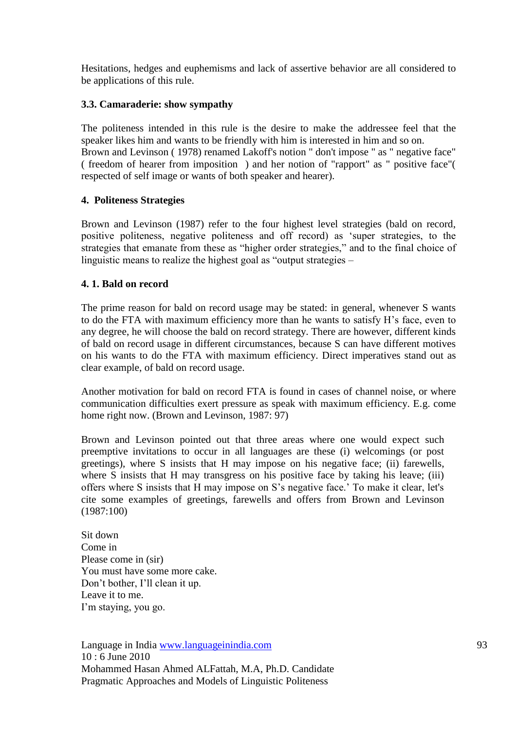Hesitations, hedges and euphemisms and lack of assertive behavior are all considered to be applications of this rule.

## **3.3. Camaraderie: show sympathy**

The politeness intended in this rule is the desire to make the addressee feel that the speaker likes him and wants to be friendly with him is interested in him and so on. Brown and Levinson ( 1978) renamed Lakoff's notion " don't impose " as " negative face" ( freedom of hearer from imposition ) and her notion of "rapport" as " positive face"( respected of self image or wants of both speaker and hearer).

## **4. Politeness Strategies**

Brown and Levinson (1987) refer to the four highest level strategies (bald on record, positive politeness, negative politeness and off record) as "super strategies, to the strategies that emanate from these as "higher order strategies," and to the final choice of linguistic means to realize the highest goal as "output strategies –

## **4. 1. Bald on record**

The prime reason for bald on record usage may be stated: in general, whenever S wants to do the FTA with maximum efficiency more than he wants to satisfy H"s face, even to any degree, he will choose the bald on record strategy. There are however, different kinds of bald on record usage in different circumstances, because S can have different motives on his wants to do the FTA with maximum efficiency. Direct imperatives stand out as clear example, of bald on record usage.

Another motivation for bald on record FTA is found in cases of channel noise, or where communication difficulties exert pressure as speak with maximum efficiency. E.g. come home right now. (Brown and Levinson, 1987: 97)

Brown and Levinson pointed out that three areas where one would expect such preemptive invitations to occur in all languages are these (i) welcomings (or post greetings), where S insists that H may impose on his negative face; (ii) farewells, where S insists that H may transgress on his positive face by taking his leave; (iii) offers where S insists that H may impose on S"s negative face." To make it clear, let's cite some examples of greetings, farewells and offers from Brown and Levinson (1987:100)

Sit down Come in Please come in (sir) You must have some more cake. Don"t bother, I"ll clean it up. Leave it to me. I'm staying, you go.

Language in India www.languageinindia.com 93 10 : 6 June 2010 Mohammed Hasan Ahmed ALFattah, M.A, Ph.D. Candidate Pragmatic Approaches and Models of Linguistic Politeness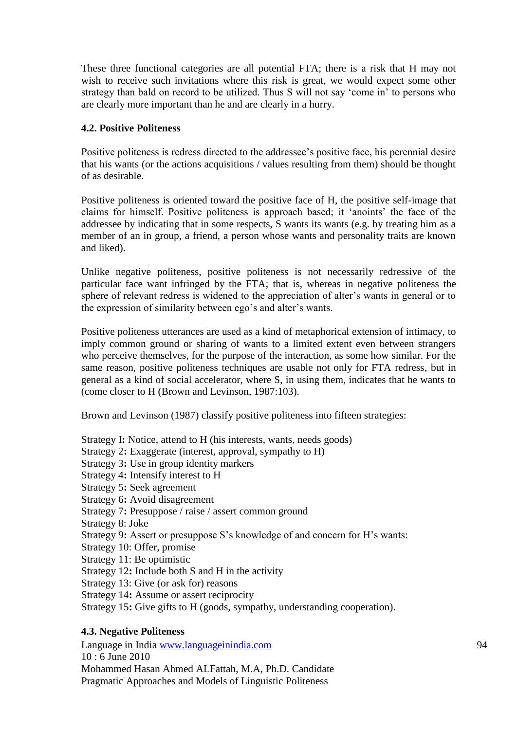These three functional categories are all potential FTA; there is a risk that H may not wish to receive such invitations where this risk is great, we would expect some other strategy than bald on record to be utilized. Thus S will not say 'come in' to persons who are clearly more important than he and are clearly in a hurry.

#### **4.2. Positive Politeness**

Positive politeness is redress directed to the addressee's positive face, his perennial desire that his wants (or the actions acquisitions / values resulting from them) should be thought of as desirable.

Positive politeness is oriented toward the positive face of H, the positive self-image that claims for himself. Positive politeness is approach based; it "anoints" the face of the addressee by indicating that in some respects, S wants its wants (e.g. by treating him as a member of an in group, a friend, a person whose wants and personality traits are known and liked).

Unlike negative politeness, positive politeness is not necessarily redressive of the particular face want infringed by the FTA; that is, whereas in negative politeness the sphere of relevant redress is widened to the appreciation of alter's wants in general or to the expression of similarity between ego"s and alter"s wants.

Positive politeness utterances are used as a kind of metaphorical extension of intimacy, to imply common ground or sharing of wants to a limited extent even between strangers who perceive themselves, for the purpose of the interaction, as some how similar. For the same reason, positive politeness techniques are usable not only for FTA redress, but in general as a kind of social accelerator, where S, in using them, indicates that he wants to (come closer to H (Brown and Levinson, 1987:103).

Brown and Levinson (1987) classify positive politeness into fifteen strategies:

Strategy I**:** Notice, attend to H (his interests, wants, needs goods) Strategy 2**:** Exaggerate (interest, approval, sympathy to H) Strategy 3**:** Use in group identity markers Strategy 4**:** Intensify interest to H Strategy 5**:** Seek agreement Strategy 6**:** Avoid disagreement Strategy 7**:** Presuppose / raise / assert common ground Strategy 8: Joke Strategy 9: Assert or presuppose S's knowledge of and concern for H's wants: Strategy 10: Offer, promise Strategy 11: Be optimistic Strategy 12**:** Include both S and H in the activity Strategy 13: Give (or ask for) reasons Strategy 14**:** Assume or assert reciprocity Strategy 15**:** Give gifts to H (goods, sympathy, understanding cooperation).

## **4.3. Negative Politeness**

Language in India www.languageinindia.com 94 10 : 6 June 2010 Mohammed Hasan Ahmed ALFattah, M.A, Ph.D. Candidate Pragmatic Approaches and Models of Linguistic Politeness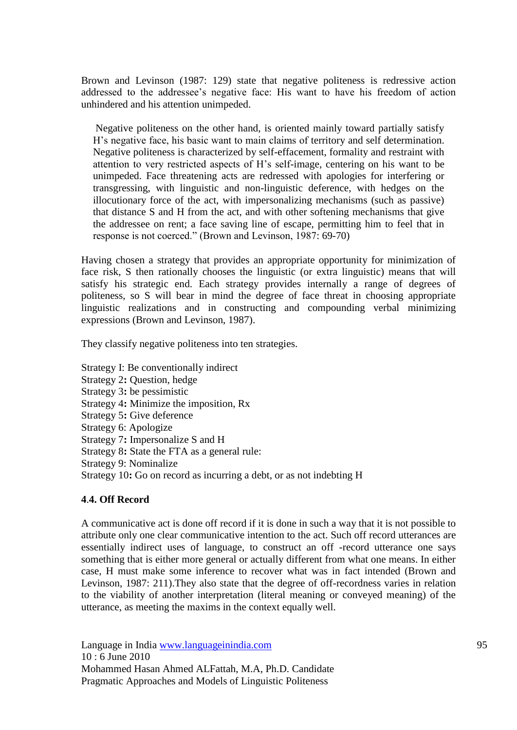Brown and Levinson (1987: 129) state that negative politeness is redressive action addressed to the addressee's negative face: His want to have his freedom of action unhindered and his attention unimpeded.

Negative politeness on the other hand, is oriented mainly toward partially satisfy H"s negative face, his basic want to main claims of territory and self determination. Negative politeness is characterized by self-effacement, formality and restraint with attention to very restricted aspects of H"s self-image, centering on his want to be unimpeded. Face threatening acts are redressed with apologies for interfering or transgressing, with linguistic and non-linguistic deference, with hedges on the illocutionary force of the act, with impersonalizing mechanisms (such as passive) that distance S and H from the act, and with other softening mechanisms that give the addressee on rent; a face saving line of escape, permitting him to feel that in response is not coerced." (Brown and Levinson, 1987: 69-70)

Having chosen a strategy that provides an appropriate opportunity for minimization of face risk, S then rationally chooses the linguistic (or extra linguistic) means that will satisfy his strategic end. Each strategy provides internally a range of degrees of politeness, so S will bear in mind the degree of face threat in choosing appropriate linguistic realizations and in constructing and compounding verbal minimizing expressions (Brown and Levinson, 1987).

They classify negative politeness into ten strategies.

Strategy I: Be conventionally indirect Strategy 2**:** Question, hedge Strategy 3**:** be pessimistic Strategy 4**:** Minimize the imposition, Rx Strategy 5**:** Give deference Strategy 6: Apologize Strategy 7**:** Impersonalize S and H Strategy 8**:** State the FTA as a general rule: Strategy 9: Nominalize Strategy 10**:** Go on record as incurring a debt, or as not indebting H

#### **4**.**4. Off Record**

A communicative act is done off record if it is done in such a way that it is not possible to attribute only one clear communicative intention to the act. Such off record utterances are essentially indirect uses of language, to construct an off -record utterance one says something that is either more general or actually different from what one means. In either case, H must make some inference to recover what was in fact intended (Brown and Levinson, 1987: 211).They also state that the degree of off-recordness varies in relation to the viability of another interpretation (literal meaning or conveyed meaning) of the utterance, as meeting the maxims in the context equally well.

Language in India www.languageinindia.com 95 10 : 6 June 2010 Mohammed Hasan Ahmed ALFattah, M.A, Ph.D. Candidate Pragmatic Approaches and Models of Linguistic Politeness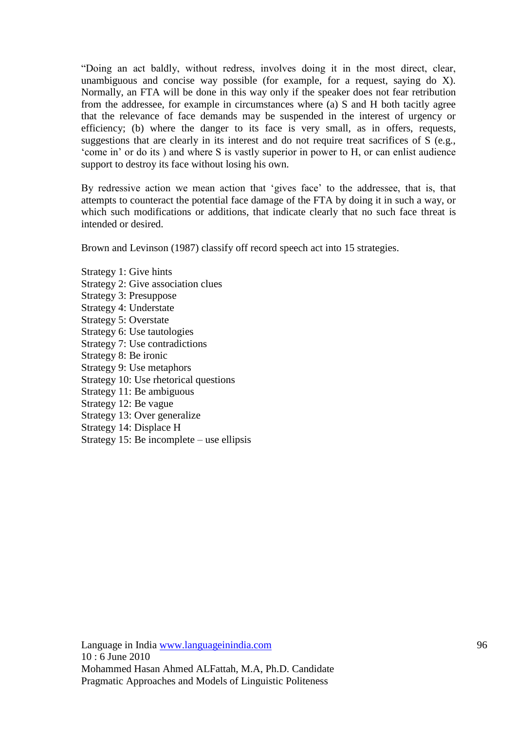"Doing an act baldly, without redress, involves doing it in the most direct, clear, unambiguous and concise way possible (for example, for a request, saying do X). Normally, an FTA will be done in this way only if the speaker does not fear retribution from the addressee, for example in circumstances where (a) S and H both tacitly agree that the relevance of face demands may be suspended in the interest of urgency or efficiency; (b) where the danger to its face is very small, as in offers, requests, suggestions that are clearly in its interest and do not require treat sacrifices of S (e.g., "come in" or do its ) and where S is vastly superior in power to H, or can enlist audience support to destroy its face without losing his own.

By redressive action we mean action that "gives face" to the addressee, that is, that attempts to counteract the potential face damage of the FTA by doing it in such a way, or which such modifications or additions, that indicate clearly that no such face threat is intended or desired.

Brown and Levinson (1987) classify off record speech act into 15 strategies.

Strategy 1: Give hints Strategy 2: Give association clues Strategy 3: Presuppose Strategy 4: Understate Strategy 5: Overstate Strategy 6: Use tautologies Strategy 7: Use contradictions Strategy 8: Be ironic Strategy 9: Use metaphors Strategy 10: Use rhetorical questions Strategy 11: Be ambiguous Strategy 12: Be vague Strategy 13: Over generalize Strategy 14: Displace H Strategy 15: Be incomplete – use ellipsis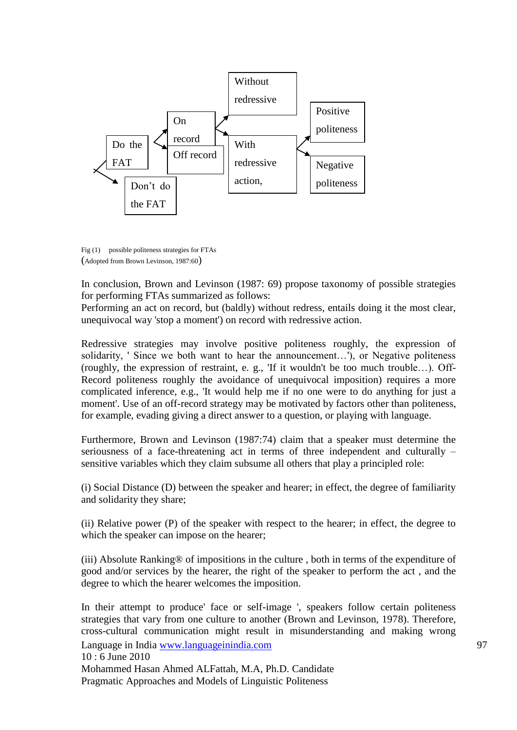

Fig (1) possible politeness strategies for FTAs (Adopted from Brown Levinson, 1987:60)

In conclusion, Brown and Levinson (1987: 69) propose taxonomy of possible strategies for performing FTAs summarized as follows:

Performing an act on record, but (baldly) without redress, entails doing it the most clear, unequivocal way 'stop a moment') on record with redressive action.

Redressive strategies may involve positive politeness roughly, the expression of solidarity, ' Since we both want to hear the announcement…'), or Negative politeness (roughly, the expression of restraint, e. g., 'If it wouldn't be too much trouble…). Off-Record politeness roughly the avoidance of unequivocal imposition) requires a more complicated inference, e.g., 'It would help me if no one were to do anything for just a moment'. Use of an off-record strategy may be motivated by factors other than politeness, for example, evading giving a direct answer to a question, or playing with language.

Furthermore, Brown and Levinson (1987:74) claim that a speaker must determine the seriousness of a face-threatening act in terms of three independent and culturally – sensitive variables which they claim subsume all others that play a principled role:

(i) Social Distance (D) between the speaker and hearer; in effect, the degree of familiarity and solidarity they share;

(ii) Relative power (P) of the speaker with respect to the hearer; in effect, the degree to which the speaker can impose on the hearer;

(iii) Absolute Ranking® of impositions in the culture , both in terms of the expenditure of good and/or services by the hearer, the right of the speaker to perform the act , and the degree to which the hearer welcomes the imposition.

Language in India www.languageinindia.com 97 10 : 6 June 2010 Mohammed Hasan Ahmed ALFattah, M.A, Ph.D. Candidate Pragmatic Approaches and Models of Linguistic Politeness In their attempt to produce' face or self-image ', speakers follow certain politeness strategies that vary from one culture to another (Brown and Levinson, 1978). Therefore, cross-cultural communication might result in misunderstanding and making wrong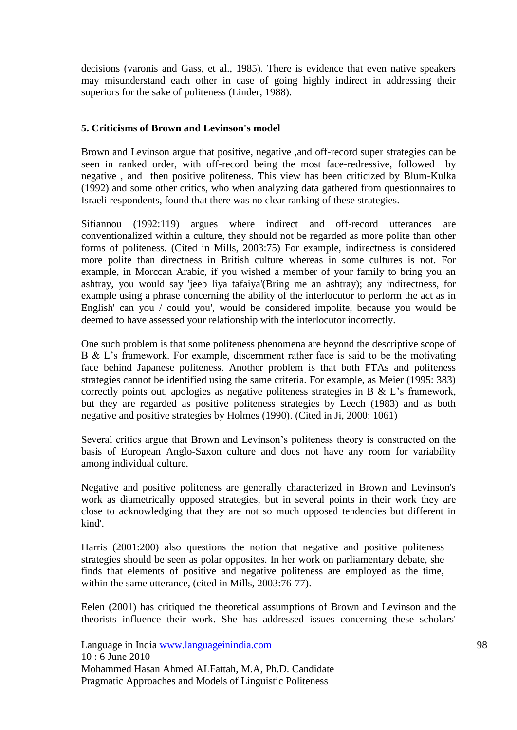decisions (varonis and Gass, et al., 1985). There is evidence that even native speakers may misunderstand each other in case of going highly indirect in addressing their superiors for the sake of politeness (Linder, 1988).

#### **5. Criticisms of Brown and Levinson's model**

Brown and Levinson argue that positive, negative ,and off-record super strategies can be seen in ranked order, with off-record being the most face-redressive, followed by negative , and then positive politeness. This view has been criticized by Blum-Kulka (1992) and some other critics, who when analyzing data gathered from questionnaires to Israeli respondents, found that there was no clear ranking of these strategies.

Sifiannou (1992:119) argues where indirect and off-record utterances are conventionalized within a culture, they should not be regarded as more polite than other forms of politeness. (Cited in Mills, 2003:75) For example, indirectness is considered more polite than directness in British culture whereas in some cultures is not. For example, in Morccan Arabic, if you wished a member of your family to bring you an ashtray, you would say 'jeeb liya tafaiya'(Bring me an ashtray); any indirectness, for example using a phrase concerning the ability of the interlocutor to perform the act as in English' can you / could you', would be considered impolite, because you would be deemed to have assessed your relationship with the interlocutor incorrectly.

One such problem is that some politeness phenomena are beyond the descriptive scope of B & L"s framework. For example, discernment rather face is said to be the motivating face behind Japanese politeness. Another problem is that both FTAs and politeness strategies cannot be identified using the same criteria. For example, as Meier (1995: 383) correctly points out, apologies as negative politeness strategies in B & L"s framework, but they are regarded as positive politeness strategies by Leech (1983) and as both negative and positive strategies by Holmes (1990). (Cited in Ji, 2000: 1061)

Several critics argue that Brown and Levinson"s politeness theory is constructed on the basis of European Anglo-Saxon culture and does not have any room for variability among individual culture.

Negative and positive politeness are generally characterized in Brown and Levinson's work as diametrically opposed strategies, but in several points in their work they are close to acknowledging that they are not so much opposed tendencies but different in kind'.

Harris (2001:200) also questions the notion that negative and positive politeness strategies should be seen as polar opposites. In her work on parliamentary debate, she finds that elements of positive and negative politeness are employed as the time, within the same utterance, (cited in Mills, 2003:76-77).

Eelen (2001) has critiqued the theoretical assumptions of Brown and Levinson and the theorists influence their work. She has addressed issues concerning these scholars'

Language in India www.languageinindia.com 98 10 : 6 June 2010 Mohammed Hasan Ahmed ALFattah, M.A, Ph.D. Candidate Pragmatic Approaches and Models of Linguistic Politeness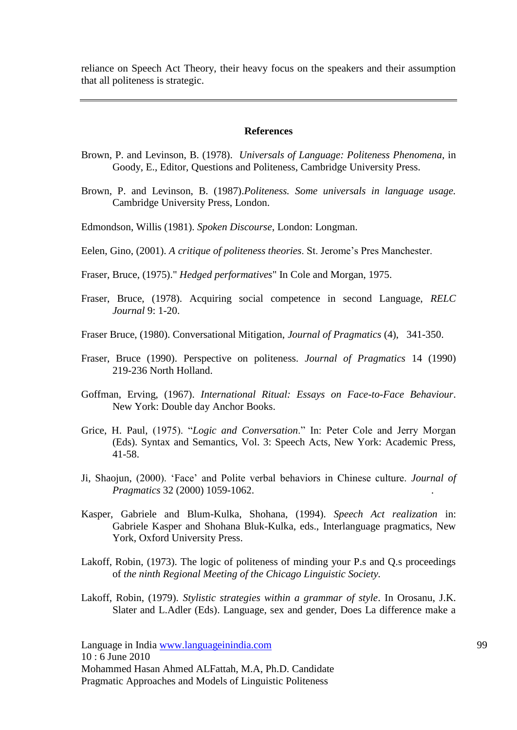reliance on Speech Act Theory, their heavy focus on the speakers and their assumption that all politeness is strategic.

#### **References**

- Brown, P. and Levinson, B. (1978). *Universals of Language: Politeness Phenomena*, in Goody, E., Editor, Questions and Politeness, Cambridge University Press.
- Brown, P. and Levinson, B. (1987).*Politeness. Some universals in language usage.* Cambridge University Press, London.
- Edmondson, Willis (1981). *Spoken Discourse*, London: Longman.
- Eelen, Gino, (2001). *A critique of politeness theories*. St. Jerome"s Pres Manchester.
- Fraser, Bruce, (1975)." *Hedged performatives*" In Cole and Morgan, 1975.
- Fraser, Bruce, (1978). Acquiring social competence in second Language, *RELC Journal* 9: 1-20.
- Fraser Bruce, (1980). Conversational Mitigation, *Journal of Pragmatics* (4), 341-350.
- Fraser, Bruce (1990). Perspective on politeness. *Journal of Pragmatics* 14 (1990) 219-236 North Holland.
- Goffman, Erving, (1967). *International Ritual: Essays on Face-to-Face Behaviour*. New York: Double day Anchor Books.
- Grice, H. Paul, (1975). "*Logic and Conversation*." In: Peter Cole and Jerry Morgan (Eds). Syntax and Semantics, Vol. 3: Speech Acts, New York: Academic Press, 41-58.
- Ji, Shaojun, (2000). "Face" and Polite verbal behaviors in Chinese culture. *Journal of Pragmatics* 32 (2000) 1059-1062. .
- Kasper, Gabriele and Blum-Kulka, Shohana, (1994). *Speech Act realization* in: Gabriele Kasper and Shohana Bluk-Kulka, eds., Interlanguage pragmatics, New York, Oxford University Press.
- Lakoff, Robin, (1973). The logic of politeness of minding your P.s and Q.s proceedings of *the ninth Regional Meeting of the Chicago Linguistic Society.*
- Lakoff, Robin, (1979). *Stylistic strategies within a grammar of style*. In Orosanu, J.K. Slater and L.Adler (Eds). Language, sex and gender, Does La difference make a

Language in India www.languageinindia.com 99 10 : 6 June 2010 Mohammed Hasan Ahmed ALFattah, M.A, Ph.D. Candidate Pragmatic Approaches and Models of Linguistic Politeness